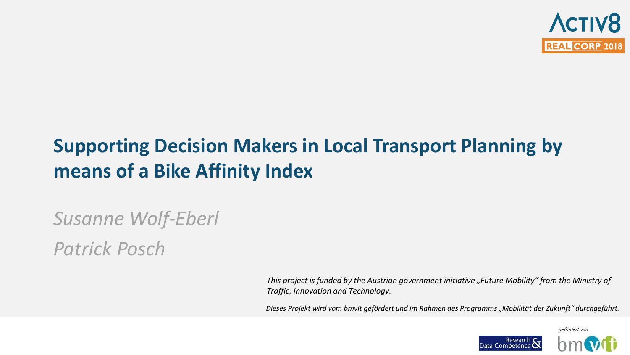

# **Supporting Decision Makers in Local Transport Planning by means of a Bike Affinity Index**

*Susanne Wolf-Eberl*

*Patrick Posch*

*This project is funded by the Austrian government initiative "Future Mobility" from the Ministry of Traffic, Innovation and Technology.*

*Dieses Projekt wird vom bmvit gefördert und im Rahmen des Programms "Mobilität der Zukunft" durchgeführt.*

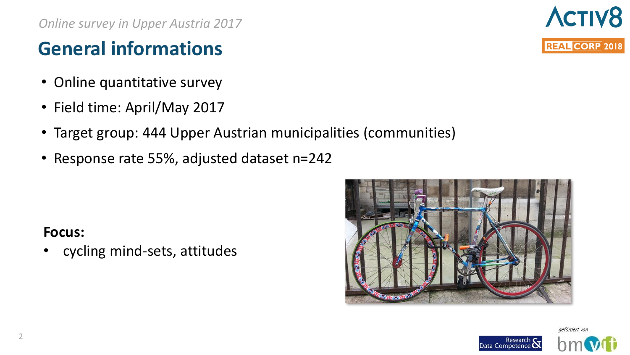*Online survey in Upper Austria 2017*

## **General informations**

- Online quantitative survey
- Field time: April/May 2017
- Target group: 444 Upper Austrian municipalities (communities)
- Response rate 55%, adjusted dataset n=242

#### **Focus:**

• cycling mind-sets, attitudes





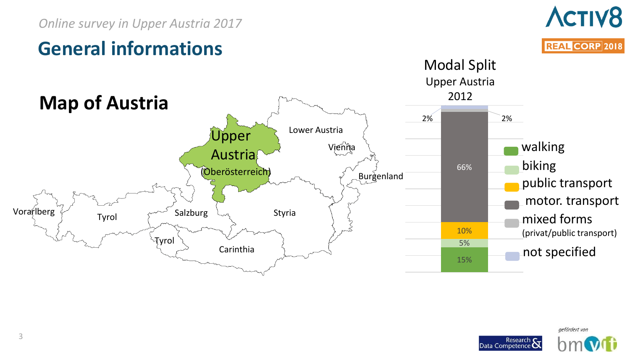# **ACTIV8 REAL CORP 2018**



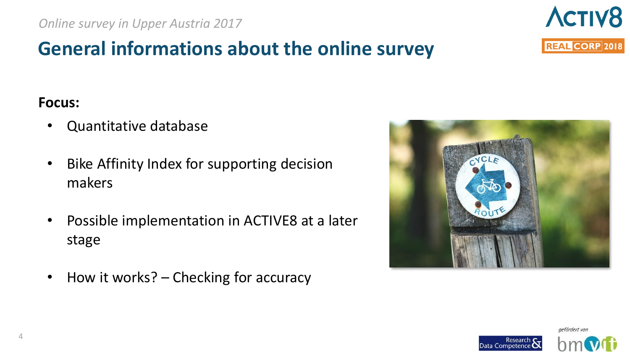## **General informations about the online survey**

#### **Focus:**

- Quantitative database
- Bike Affinity Index for supporting decision makers
- Possible implementation in ACTIVE8 at a later stage
- How it works? Checking for accuracy





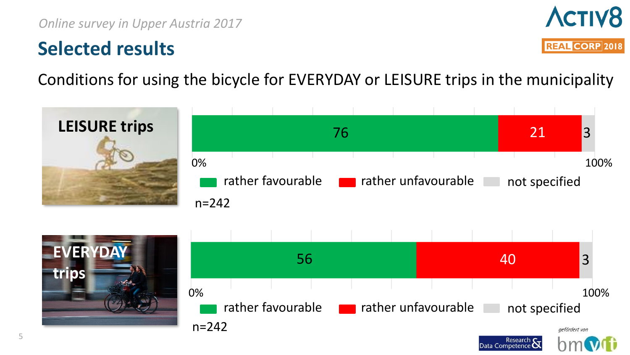## **Selected results**



Conditions for using the bicycle for EVERYDAY or LEISURE trips in the municipality



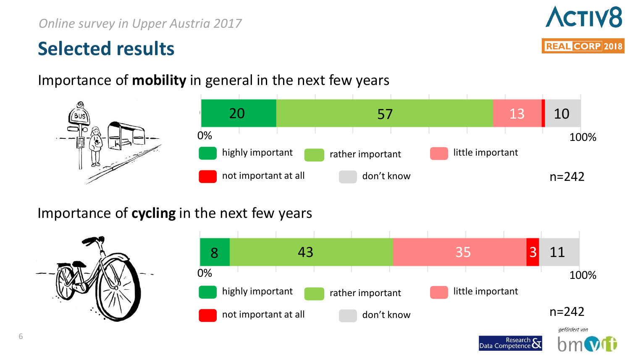## **Selected results**

#### Importance of **mobility** in general in the next few years

#### Importance of **cycling** in the next few years







Research **Stree**<br>Data Competence **Stree**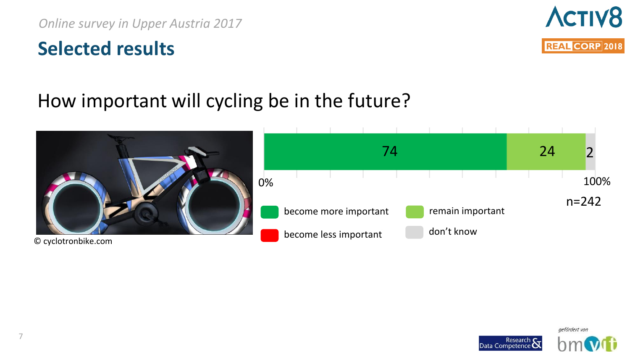#### **Selected results**



#### How important will cycling be in the future?



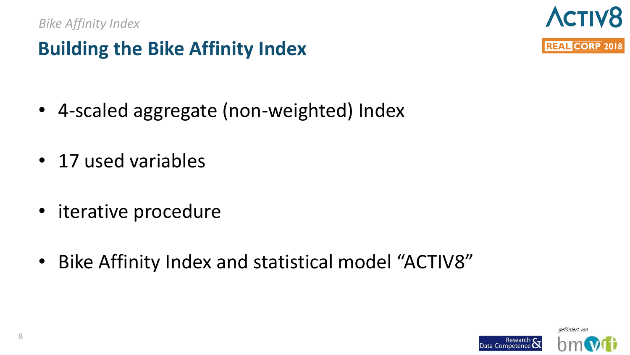# **Building the Bike Affinity Index**

- 4-scaled aggregate (non-weighted) Index
- 17 used variables
- iterative procedure
- Bike Affinity Index and statistical model "ACTIV8"



**ACTIV8** 

**REAL CORP 2018** 

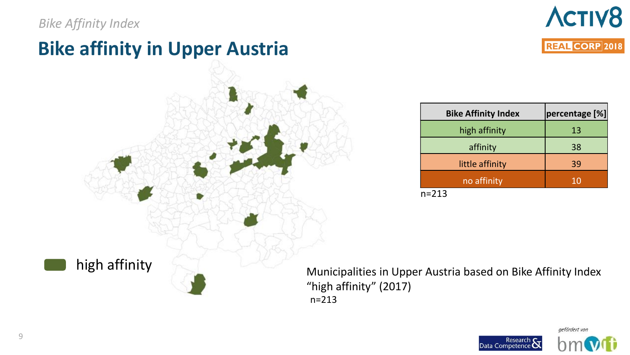#### *Bike Affinity Index*

high affinity

## **Bike affinity in Upper Austria**



| <b>Bike Affinity Index</b> | percentage [%] |
|----------------------------|----------------|
| high affinity              | 13             |
| affinity                   | 38             |
| little affinity            | 39             |
| no affinity                | 10             |

n=213

Municipalities in Upper Austria based on Bike Affinity Index "high affinity" (2017) n=213



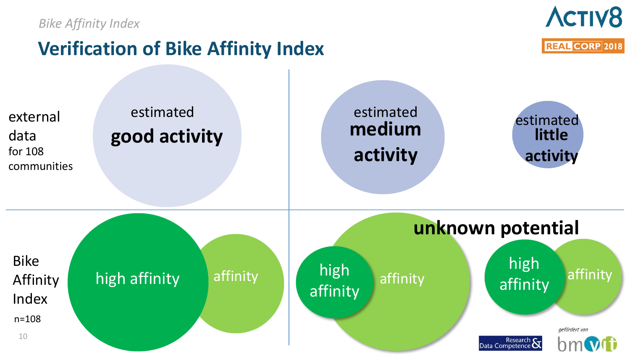*Bike Affinity Index*



## **Verification of Bike Affinity Index**